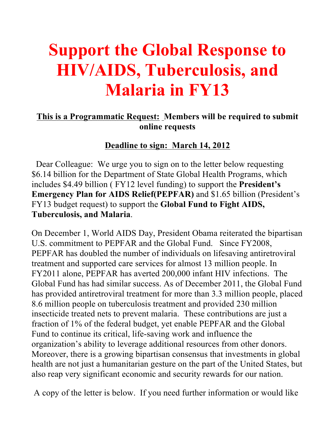# **Support the Global Response to HIV/AIDS, Tuberculosis, and Malaria in FY13**

### **This is a Programmatic Request: Members will be required to submit online requests**

### **Deadline to sign: March 14, 2012**

 Dear Colleague: We urge you to sign on to the letter below requesting \$6.14 billion for the Department of State Global Health Programs, which includes \$4.49 billion ( FY12 level funding) to support the **President's Emergency Plan for AIDS Relief(PEPFAR)** and \$1.65 billion (President's FY13 budget request) to support the **Global Fund to Fight AIDS, Tuberculosis, and Malaria**.

On December 1, World AIDS Day, President Obama reiterated the bipartisan U.S. commitment to PEPFAR and the Global Fund. Since FY2008, PEPFAR has doubled the number of individuals on lifesaving antiretroviral treatment and supported care services for almost 13 million people. In FY2011 alone, PEPFAR has averted 200,000 infant HIV infections. The Global Fund has had similar success. As of December 2011, the Global Fund has provided antiretroviral treatment for more than 3.3 million people, placed 8.6 million people on tuberculosis treatment and provided 230 million insecticide treated nets to prevent malaria. These contributions are just a fraction of 1% of the federal budget, yet enable PEPFAR and the Global Fund to continue its critical, life-saving work and influence the organization's ability to leverage additional resources from other donors. Moreover, there is a growing bipartisan consensus that investments in global health are not just a humanitarian gesture on the part of the United States, but also reap very significant economic and security rewards for our nation.

A copy of the letter is below. If you need further information or would like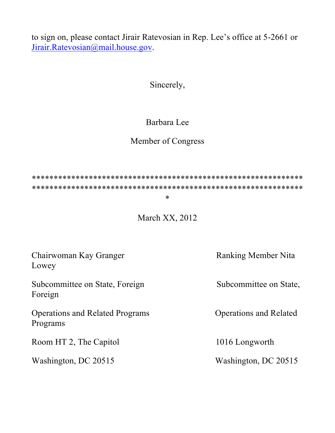to sign on, please contact Jirair Ratevosian in Rep. Lee's office at 5-2661 or Jirair.Ratevosian@mail.house.gov.

Sincerely,

# Barbara Lee

# Member of Congress

\*\*\*\*\*\*\*\*\*\*\*\*\*\*\*\*\*\*\*\*\*\*\*\*\*\*\*\*\*\*\*\*\*\*\*\*\*\*\*\*\*\*\*\*\*\*\*\*\*\*\*\*\*\*\*\*\*\*\*\*\*\* \*\*\*\*\*\*\*\*\*\*\*\*\*\*\*\*\*\*\*\*\*\*\*\*\*\*\*\*\*\*\*\*\*\*\*\*\*\*\*\*\*\*\*\*\*\*\*\*\*\*\*\*\*\*\*\*\*\*\*\*\*\*

#### \*

March XX, 2012

| Chairwoman Kay Granger<br>Lowey                    | <b>Ranking Member Nita</b>    |
|----------------------------------------------------|-------------------------------|
| Subcommittee on State, Foreign<br>Foreign          | Subcommittee on State,        |
| <b>Operations and Related Programs</b><br>Programs | <b>Operations and Related</b> |
| Room HT 2, The Capitol                             | 1016 Longworth                |
| Washington, DC 20515                               | Washington, DC 20515          |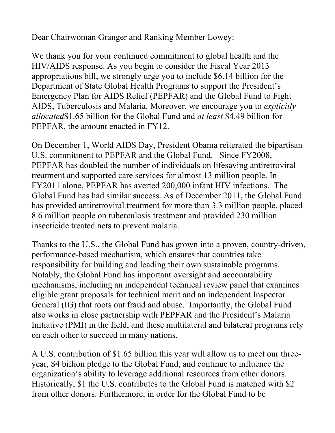Dear Chairwoman Granger and Ranking Member Lowey:

We thank you for your continued commitment to global health and the HIV/AIDS response. As you begin to consider the Fiscal Year 2013 appropriations bill, we strongly urge you to include \$6.14 billion for the Department of State Global Health Programs to support the President's Emergency Plan for AIDS Relief (PEPFAR) and the Global Fund to Fight AIDS, Tuberculosis and Malaria. Moreover, we encourage you to *explicitly allocated*\$1.65 billion for the Global Fund and *at least* \$4.49 billion for PEPFAR, the amount enacted in FY12.

On December 1, World AIDS Day, President Obama reiterated the bipartisan U.S. commitment to PEPFAR and the Global Fund. Since FY2008, PEPFAR has doubled the number of individuals on lifesaving antiretroviral treatment and supported care services for almost 13 million people. In FY2011 alone, PEPFAR has averted 200,000 infant HIV infections. The Global Fund has had similar success. As of December 2011, the Global Fund has provided antiretroviral treatment for more than 3.3 million people, placed 8.6 million people on tuberculosis treatment and provided 230 million insecticide treated nets to prevent malaria.

Thanks to the U.S., the Global Fund has grown into a proven, country-driven, performance-based mechanism, which ensures that countries take responsibility for building and leading their own sustainable programs. Notably, the Global Fund has important oversight and accountability mechanisms, including an independent technical review panel that examines eligible grant proposals for technical merit and an independent Inspector General (IG) that roots out fraud and abuse. Importantly, the Global Fund also works in close partnership with PEPFAR and the President's Malaria Initiative (PMI) in the field, and these multilateral and bilateral programs rely on each other to succeed in many nations.

A U.S. contribution of \$1.65 billion this year will allow us to meet our threeyear, \$4 billion pledge to the Global Fund, and continue to influence the organization's ability to leverage additional resources from other donors. Historically, \$1 the U.S. contributes to the Global Fund is matched with \$2 from other donors. Furthermore, in order for the Global Fund to be